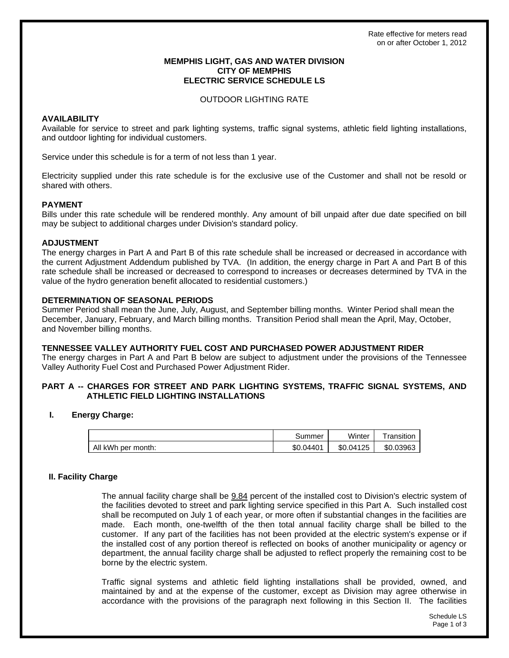## **MEMPHIS LIGHT, GAS AND WATER DIVISION CITY OF MEMPHIS ELECTRIC SERVICE SCHEDULE LS**

### OUTDOOR LIGHTING RATE

# **AVAILABILITY**

Available for service to street and park lighting systems, traffic signal systems, athletic field lighting installations, and outdoor lighting for individual customers.

Service under this schedule is for a term of not less than 1 year.

Electricity supplied under this rate schedule is for the exclusive use of the Customer and shall not be resold or shared with others.

# **PAYMENT**

Bills under this rate schedule will be rendered monthly. Any amount of bill unpaid after due date specified on bill may be subject to additional charges under Division's standard policy.

# **ADJUSTMENT**

The energy charges in Part A and Part B of this rate schedule shall be increased or decreased in accordance with the current Adjustment Addendum published by TVA. (In addition, the energy charge in Part A and Part B of this rate schedule shall be increased or decreased to correspond to increases or decreases determined by TVA in the value of the hydro generation benefit allocated to residential customers.)

# **DETERMINATION OF SEASONAL PERIODS**

Summer Period shall mean the June, July, August, and September billing months. Winter Period shall mean the December, January, February, and March billing months. Transition Period shall mean the April, May, October, and November billing months.

# **TENNESSEE VALLEY AUTHORITY FUEL COST AND PURCHASED POWER ADJUSTMENT RIDER**

The energy charges in Part A and Part B below are subject to adjustment under the provisions of the Tennessee Valley Authority Fuel Cost and Purchased Power Adjustment Rider.

# **PART A -- CHARGES FOR STREET AND PARK LIGHTING SYSTEMS, TRAFFIC SIGNAL SYSTEMS, AND ATHLETIC FIELD LIGHTING INSTALLATIONS**

# **I. Energy Charge:**

|                    | summerٽ        | Winter    | ransition |
|--------------------|----------------|-----------|-----------|
| All kWh per month: | .04401<br>\$0. | \$0.04125 | \$0.03963 |

# **II. Facility Charge**

The annual facility charge shall be  $9.84$  percent of the installed cost to Division's electric system of the facilities devoted to street and park lighting service specified in this Part A. Such installed cost shall be recomputed on July 1 of each year, or more often if substantial changes in the facilities are made. Each month, one-twelfth of the then total annual facility charge shall be billed to the customer. If any part of the facilities has not been provided at the electric system's expense or if the installed cost of any portion thereof is reflected on books of another municipality or agency or department, the annual facility charge shall be adjusted to reflect properly the remaining cost to be borne by the electric system.

Traffic signal systems and athletic field lighting installations shall be provided, owned, and maintained by and at the expense of the customer, except as Division may agree otherwise in accordance with the provisions of the paragraph next following in this Section II. The facilities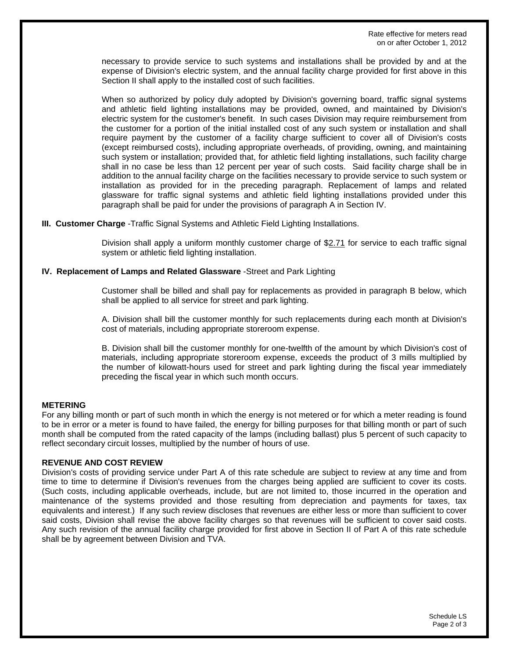necessary to provide service to such systems and installations shall be provided by and at the expense of Division's electric system, and the annual facility charge provided for first above in this Section II shall apply to the installed cost of such facilities.

When so authorized by policy duly adopted by Division's governing board, traffic signal systems and athletic field lighting installations may be provided, owned, and maintained by Division's electric system for the customer's benefit. In such cases Division may require reimbursement from the customer for a portion of the initial installed cost of any such system or installation and shall require payment by the customer of a facility charge sufficient to cover all of Division's costs (except reimbursed costs), including appropriate overheads, of providing, owning, and maintaining such system or installation; provided that, for athletic field lighting installations, such facility charge shall in no case be less than 12 percent per year of such costs. Said facility charge shall be in addition to the annual facility charge on the facilities necessary to provide service to such system or installation as provided for in the preceding paragraph. Replacement of lamps and related glassware for traffic signal systems and athletic field lighting installations provided under this paragraph shall be paid for under the provisions of paragraph A in Section IV.

**III. Customer Charge** -Traffic Signal Systems and Athletic Field Lighting Installations.

Division shall apply a uniform monthly customer charge of \$2.71 for service to each traffic signal system or athletic field lighting installation.

# **IV. Replacement of Lamps and Related Glassware** -Street and Park Lighting

Customer shall be billed and shall pay for replacements as provided in paragraph B below, which shall be applied to all service for street and park lighting.

A. Division shall bill the customer monthly for such replacements during each month at Division's cost of materials, including appropriate storeroom expense.

B. Division shall bill the customer monthly for one-twelfth of the amount by which Division's cost of materials, including appropriate storeroom expense, exceeds the product of 3 mills multiplied by the number of kilowatt-hours used for street and park lighting during the fiscal year immediately preceding the fiscal year in which such month occurs.

# **METERING**

For any billing month or part of such month in which the energy is not metered or for which a meter reading is found to be in error or a meter is found to have failed, the energy for billing purposes for that billing month or part of such month shall be computed from the rated capacity of the lamps (including ballast) plus 5 percent of such capacity to reflect secondary circuit losses, multiplied by the number of hours of use.

### **REVENUE AND COST REVIEW**

Division's costs of providing service under Part A of this rate schedule are subject to review at any time and from time to time to determine if Division's revenues from the charges being applied are sufficient to cover its costs. (Such costs, including applicable overheads, include, but are not limited to, those incurred in the operation and maintenance of the systems provided and those resulting from depreciation and payments for taxes, tax equivalents and interest.) If any such review discloses that revenues are either less or more than sufficient to cover said costs, Division shall revise the above facility charges so that revenues will be sufficient to cover said costs. Any such revision of the annual facility charge provided for first above in Section II of Part A of this rate schedule shall be by agreement between Division and TVA.